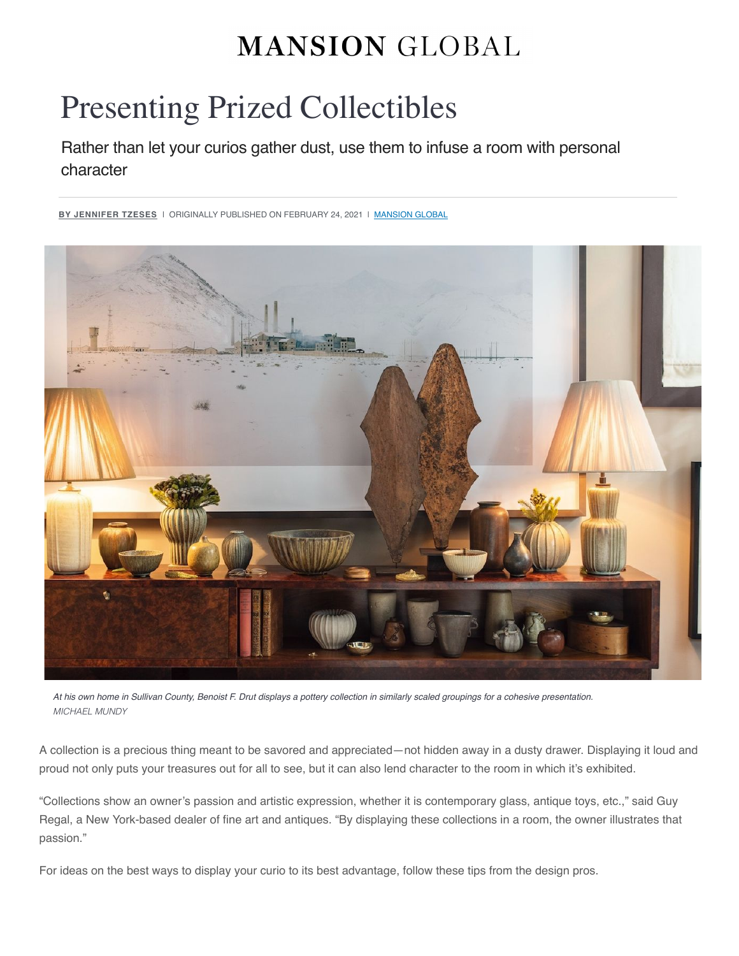# **MANSION GLOBAL**

# Presenting Prized Collectibles

Rather than let your curios gather dust, use them to infuse a room with personal character

<sup>&</sup>lt;u>BY JENNIFER TZESES</u> I ORIGINALLY PUBLISHED ON FEBRUARY 24, 2021 I <u>[MANSION GLOBAL](https://www.mansionglobal.com/)</u>



*At his own home in Sullivan County, Benoist F. Drut displays a pottery collection in similarly scaled groupings for a cohesive presentation. MICHAEL MUNDY*

A collection is a precious thing meant to be savored and appreciated—not hidden away in a dusty drawer. Displaying it loud and proud not only puts your treasures out for all to see, but it can also lend character to the room in which it's exhibited.

"Collections show an owner's passion and artistic expression, whether it is contemporary glass, antique toys, etc.," said Guy Regal, a New York-based dealer of fine art and antiques. "By displaying these collections in a room, the owner illustrates that passion."

For ideas on the best ways to display your curio to its best advantage, follow these tips from the design pros.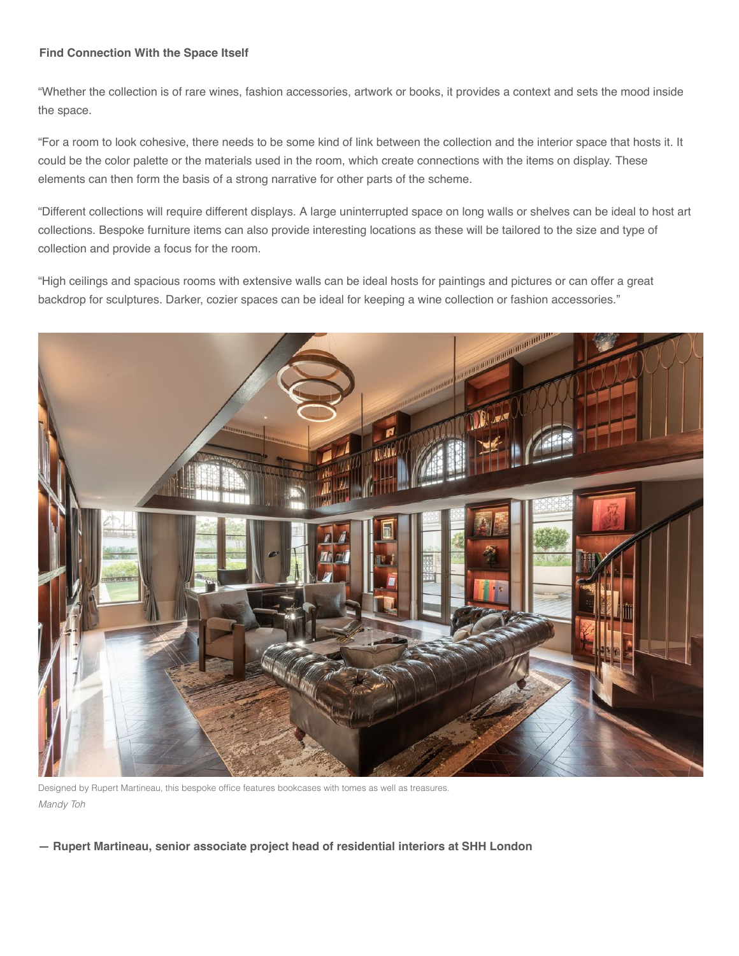# **Find Connection With the Space Itself**

"Whether the collection is of rare wines, fashion accessories, artwork or books, it provides a context and sets the mood inside the space.

"For a room to look cohesive, there needs to be some kind of link between the collection and the interior space that hosts it. It could be the color palette or the materials used in the room, which create connections with the items on display. These elements can then form the basis of a strong narrative for other parts of the scheme.

"Different collections will require different displays. A large uninterrupted space on long walls or shelves can be ideal to host art collections. Bespoke furniture items can also provide interesting locations as these will be tailored to the size and type of collection and provide a focus for the room.

"High ceilings and spacious rooms with extensive walls can be ideal hosts for paintings and pictures or can offer a great backdrop for sculptures. Darker, cozier spaces can be ideal for keeping a wine collection or fashion accessories."



Designed by Rupert Martineau, this bespoke office features bookcases with tomes as well as treasures. *Mandy Toh*

**— Rupert Martineau, senior associate project head of residential interiors at SHH London**